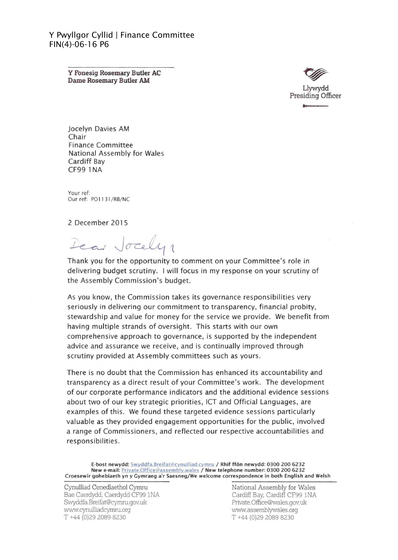Y Pwyllgor Cyllid | Finance Committee FIN(4)-06-16 P6

> Y Fonesig Rosemary Butler AC Dame Rosemary Butler AM



Jocelyn Davies AM Chair Finance Committee National Assembly for Wales Cardiff Bay CF99 1 NA

Your ref: Our ref: PO1131/RB/NC

2 December 201 5

Dear Jocely

Thank you for the opportunity to comment on your Committee's role in delivering budget scrutiny. I will focus in my response on your scrutiny of the Assembly Commission's budget.

As you know, the Commission takes its governance responsibilities very seriously in delivering our commitment to transparency, financial probity, stewardship and value for money for the service we provide. We benefit from having multiple strands of oversight. This starts with our own comprehensive approach to governance, is supported by the independent advice and assurance we receive, and is continually improved through scrutiny provided at Assembly committees such as yours.

There is no doubt that the Commission has enhanced its accountability and transparency as a direct result of your Committee's work. The development of our corporate performance indicators and the additional evidence sessions about two of our key strategic priorities, ICT and Official Languages, are examples of this. We found these targeted evidence sessions particularly valuable as they provided engagement opportunities for the public, involved a range of Commissioners, and reflected our respective accountabilities and responsibilities.

E-bost newydd: Swyddfa.Breifat@cynulliad.cymru / Rhif ffôn newydd: 0300 200 6232 New e-mail: Private.Office@assembly.wales / New telephone number: 0300 200 6232 Craesewir gohebiaeth yn y Gymraeg a'r Saesneg/We welcome correspondence in both English and Welsh

Cynulliad Cenedlaethol Cymru Bae Caerdydd, Caerdydd CF99 INA Swyddfa.Breifat@cyrnru.gov.uk www.cynulliadcyrnru.org T +44 (0)292089 8230

National Assembly for Wales Cardiff Bay, Cardiff CF99 INA Private.Office@wales.gov.uk www.assernblywales.org T +44 (0)29 2089 8230